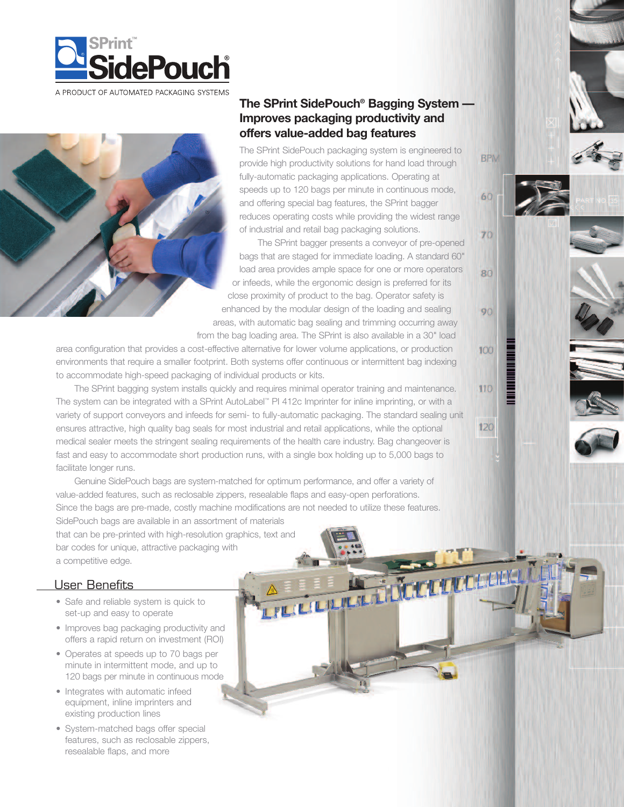



# **The SPrint SidePouch® Bagging System — Improves packaging productivity and offers value-added bag features**

The SPrint SidePouch packaging system is engineered to provide high productivity solutions for hand load through fully-automatic packaging applications. Operating at speeds up to 120 bags per minute in continuous mode, and offering special bag features, the SPrint bagger reduces operating costs while providing the widest range of industrial and retail bag packaging solutions.

The SPrint bagger presents a conveyor of pre-opened bags that are staged for immediate loading. A standard 60" load area provides ample space for one or more operators or infeeds, while the ergonomic design is preferred for its close proximity of product to the bag. Operator safety is enhanced by the modular design of the loading and sealing areas, with automatic bag sealing and trimming occurring away from the bag loading area. The SPrint is also available in a 30" load

A REGISTER MARINE

area configuration that provides a cost-effective alternative for lower volume applications, or production environments that require a smaller footprint. Both systems offer continuous or intermittent bag indexing to accommodate high-speed packaging of individual products or kits.

The SPrint bagging system installs quickly and requires minimal operator training and maintenance. The system can be integrated with a SPrint AutoLabel™ PI 412c Imprinter for inline imprinting, or with a variety of support conveyors and infeeds for semi- to fully-automatic packaging. The standard sealing unit ensures attractive, high quality bag seals for most industrial and retail applications, while the optional medical sealer meets the stringent sealing requirements of the health care industry. Bag changeover is fast and easy to accommodate short production runs, with a single box holding up to 5,000 bags to facilitate longer runs.

Genuine SidePouch bags are system-matched for optimum performance, and offer a variety of value-added features, such as reclosable zippers, resealable flaps and easy-open perforations. Since the bags are pre-made, costly machine modifications are not needed to utilize these features. SidePouch bags are available in an assortment of materials that can be pre-printed with high-resolution graphics, text and bar codes for unique, attractive packaging with

a competitive edge.

# User Benefits

- Safe and reliable system is quick to set-up and easy to operate
- Improves bag packaging productivity and offers a rapid return on investment (ROI)
- Operates at speeds up to 70 bags per minute in intermittent mode, and up to 120 bags per minute in continuous mode
- Integrates with automatic infeed equipment, inline imprinters and existing production lines
- System-matched bags offer special features, such as reclosable zippers, resealable flaps, and more

**BPM** 

60

70

 $RO$ 

90

100

110

120